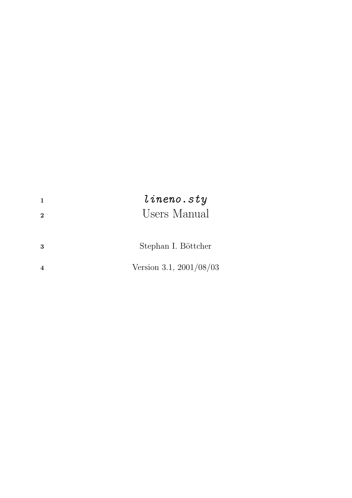| 2 | line.<br>Users Manual   |
|---|-------------------------|
| 3 | Stephan I. Böttcher     |
|   | Version 3.1, 2001/08/03 |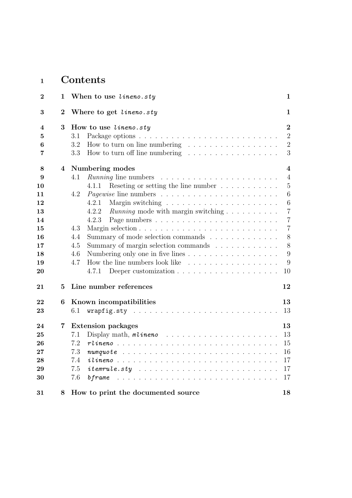# <sup>1</sup> Contents

| $\bf{2}$                 | 1              | When to use lineno.sty                                                                                                                                                                     | 1                                                       |
|--------------------------|----------------|--------------------------------------------------------------------------------------------------------------------------------------------------------------------------------------------|---------------------------------------------------------|
| 3                        | $\overline{2}$ | Where to get lineno.sty                                                                                                                                                                    | 1                                                       |
| 4<br>5<br>6<br>7         | 3              | How to use $line. sty$<br>3.1<br>How to turn on line numbering $\dots \dots \dots \dots \dots \dots$<br>3.2<br>3.3<br>How to turn off line numbering $\dots \dots \dots \dots \dots \dots$ | $\overline{2}$<br>$\overline{2}$<br>$\overline{2}$<br>3 |
| 8                        | 4              | Numbering modes                                                                                                                                                                            | 4                                                       |
| 9<br>10                  |                | 4.1<br>Reseting or setting the line number $\dots \dots \dots$<br>4.1.1                                                                                                                    | $\overline{4}$<br>$\overline{5}$                        |
| 11<br>12<br>13           |                | 4.2<br>4.2.1<br>4.2.2<br><i>Running</i> mode with margin switching                                                                                                                         | 6<br>6<br>$\overline{7}$                                |
| 14<br>15                 |                | 4.2.3<br>4.3                                                                                                                                                                               | $\overline{7}$<br>$\overline{7}$                        |
| 16<br>$17\,$             |                | Summary of mode selection commands<br>4.4<br>4.5<br>Summary of margin selection commands                                                                                                   | 8<br>8                                                  |
| 18<br>19<br>20           |                | Numbering only one in five lines<br>4.6<br>How the line numbers look like<br>4.7<br>4.7.1                                                                                                  | 9<br>9<br>10                                            |
| 21                       | 5              | Line number references                                                                                                                                                                     | 12                                                      |
| 22<br>$\boldsymbol{23}$  | 6              | Known incompatibilities<br>6.1                                                                                                                                                             | 13<br>13                                                |
| 24                       | 7              | <b>Extension packages</b>                                                                                                                                                                  | 13                                                      |
| $\bf 25$<br>26<br>$27\,$ |                | 7.1<br>7.2<br>7.3                                                                                                                                                                          | 13<br>15<br>16                                          |
| 28<br>29<br>30           |                | 7.4<br>$ilineno$<br>7.5<br>7.6                                                                                                                                                             | 17<br>17<br>17                                          |
| 31                       | 8              | How to print the documented source                                                                                                                                                         | 18                                                      |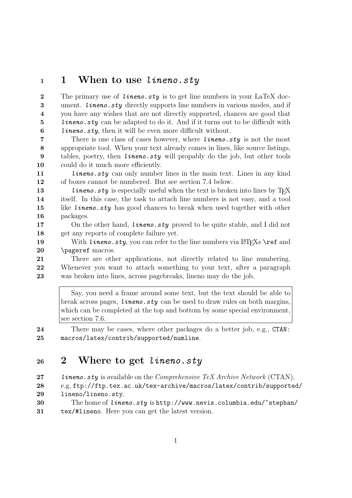## <sup>1</sup> 1 When to use lineno.sty

2 The primary use of *lineno.sty* is to get line numbers in your LaTeX doc-3 ument. *lineno.sty* directly supports line numbers in various modes, and if 4 you have any wishes that are not directly supported, chances are good that 5 lineno.sty can be adapted to do it. And if it turns out to be difficult with 6 lineno.sty, then it will be even more difficult without.

7 There is one class of cases however, where *lineno.sty* is not the most 8 appropriate tool. When your text already comes in lines, like source listings, 9 tables, poetry, then *lineno.sty* will propably do the job, but other tools 10 could do it much more efficiently.

11 *lineno.sty* can only number lines in the main text. Lines in any kind 12 of boxes cannot be numbered. But see section 7.4 below.

13 lineno.sty is especially useful when the text is broken into lines by TFX 14 itself. In this case, the task to attach line numbers is not easy, and a tool 15 like *lineno.sty* has good chances to break when used together with other 16 packages.

17 On the other hand, *lineno.sty* proved to be quite stable, and I did not 18 get any reports of complete failure yet.

19 With *lineno.sty*, you can refer to the line numbers via  $\langle$ FIFXs \ref and 20 \pageref macros.

21 There are other applications, not directly related to line numbering. 22 Whenever you want to attach something to your text, after a paragraph 23 was broken into lines, across pagebreaks, lineno may do the job.

Say, you need a frame around some text, but the text should be able to break across pages, *lineno.sty* can be used to draw rules on both margins, which can be completed at the top and bottom by some special environment, see section 7.6.

24 There may be cases, where other packages do a better job, e.g., CTAN: 25 macros/latex/contrib/supported/numline.

# <sup>26</sup> 2 Where to get lineno.sty

27 lineno.sty is available on the Comprehensive TeX Archive Network (CTAN), 28 e.g, ftp://ftp.tex.ac.uk/tex-archive/macros/latex/contrib/supported/ 29 lineno/lineno.sty.

30 The home of *lineno.sty* is http://www.nevis.columbia.edu/~stephan/ 31 tex/#lineno. Here you can get the latest version.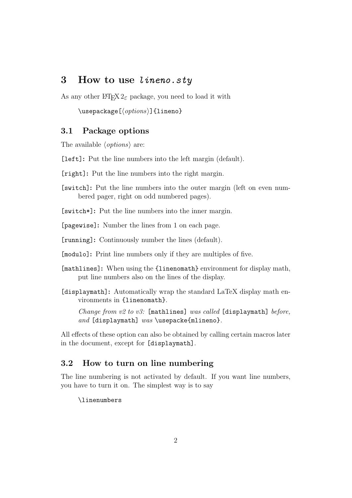## 3 How to use lineno.sty

As any other  $\angle MFX2_{\epsilon}$  package, you need to load it with

 $\{\text{usepackage}[\langle options\rangle]\{\text{lineno}\}\$ 

#### 3.1 Package options

The available  $\langle options \rangle$  are:

[left]: Put the line numbers into the left margin (default).

[right]: Put the line numbers into the right margin.

[switch]: Put the line numbers into the outer margin (left on even numbered pager, right on odd numbered pages).

[switch\*]: Put the line numbers into the inner margin.

[pagewise]: Number the lines from 1 on each page.

[running]: Continuously number the lines (default).

[modulo]: Print line numbers only if they are multiples of five.

- [mathlines]: When using the {linenomath} environment for display math, put line numbers also on the lines of the display.
- [displaymath]: Automatically wrap the standard LaTeX display math environments in {linenomath}.

Change from  $v2$  to  $v3$ : [mathlines] was called [displaymath] before, and [displaymath] was \usepacke{mlineno}.

All effects of these option can also be obtained by calling certain macros later in the document, except for [displaymath].

## 3.2 How to turn on line numbering

The line numbering is not activated by default. If you want line numbers, you have to turn it on. The simplest way is to say

\linenumbers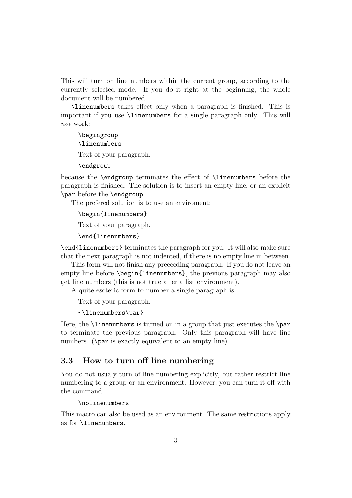This will turn on line numbers within the current group, according to the currently selected mode. If you do it right at the beginning, the whole document will be numbered.

\linenumbers takes effect only when a paragraph is finished. This is important if you use \linenumbers for a single paragraph only. This will not work:

\begingroup \linenumbers Text of your paragraph. \endgroup

because the \endgroup terminates the effect of \linenumbers before the paragraph is finished. The solution is to insert an empty line, or an explicit \par before the \endgroup.

The prefered solution is to use an enviroment:

\begin{linenumbers}

Text of your paragraph.

\end{linenumbers}

\end{linenumbers} terminates the paragraph for you. It will also make sure that the next paragraph is not indented, if there is no empty line in between.

This form will not finish any preceeding paragraph. If you do not leave an empty line before \begin{linenumbers}, the previous paragraph may also get line numbers (this is not true after a list environment).

A quite esoteric form to number a single paragraph is:

Text of your paragraph.

{\linenumbers\par}

Here, the **\linenumbers** is turned on in a group that just executes the **\par** to terminate the previous paragraph. Only this paragraph will have line numbers. (\par is exactly equivalent to an empty line).

#### 3.3 How to turn off line numbering

You do not usualy turn of line numbering explicitly, but rather restrict line numbering to a group or an environment. However, you can turn it off with the command

\nolinenumbers

This macro can also be used as an environment. The same restrictions apply as for \linenumbers.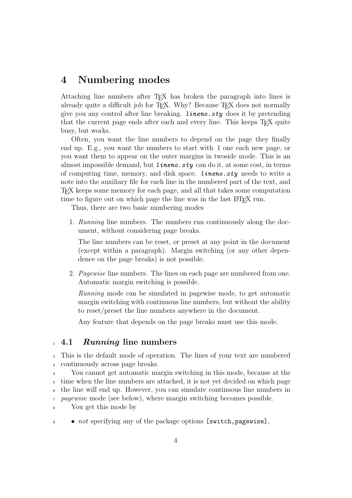# 4 Numbering modes

Attaching line numbers after TEX has broken the paragraph into lines is already quite a difficult job for T<sub>E</sub>X. Why? Because T<sub>E</sub>X does not normally give you any control after line breaking. *lineno.sty* does it by pretending that the current page ends after each and every line. This keeps T<sub>E</sub>X quite busy, but works.

Often, you want the line numbers to depend on the page they finally end up. E.g., you want the numbers to start with 1 one each new page, or you want them to appear on the outer margins in twoside mode. This is an almost impossible demand, but *lineno.sty* can do it, at some cost, in terms of computing time, memory, and disk space. *lineno.sty* needs to write a note into the auxiliary file for each line in the numbered part of the text, and TEX keeps some memory for each page, and all that takes some computation time to figure out on which page the line was in the last LAT<sub>EX</sub> run.

Thus, there are two basic numbering modes

1. Running line numbers. The numbers run continuously along the document, without considering page breaks.

The line numbers can be reset, or preset at any point in the document (except within a paragraph). Margin switching (or any other dependence on the page breaks) is not possible.

2. Pagewise line numbers. The lines on each page are numbered from one. Automatic margin switching is possible.

Running mode can be simulated in pagewise mode, to get automatic margin switching with continuous line numbers, but without the ability to reset/preset the line numbers anywhere in the document.

Any feature that depends on the page breaks must use this mode.

#### <sup>1</sup> 4.1 *Running* line numbers

<sup>2</sup> This is the default mode of operation. The lines of your text are numbered <sup>3</sup> continuously across page breaks.

 You cannot get automatic margin switching in this mode, because at the time when the line numbers are attached, it is not yet decided on which page the line will end up. However, you can simulate continuous line numbers in 7 pagewise mode (see below), where margin switching becomes possible.

<sup>8</sup> You get this mode by

 $\bullet$  *not* specifying any of the package options [switch, pagewise],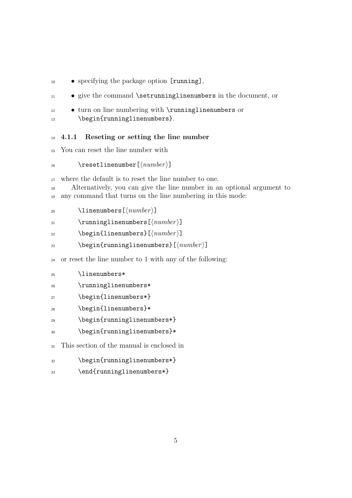- <sup>10</sup> specifying the package option [running],
- $\bullet$  give the command \setrunninglinenumbers in the document, or
- <sup>12</sup> turn on line numbering with \runninglinenumbers or 13 \begin{runninglinenumbers}.

#### <sup>14</sup> 4.1.1 Reseting or setting the line number

- <sup>15</sup> You can reset the line number with
- 16 \resetlinenumber  $[\langle number \rangle]$

<sup>17</sup> where the default is to reset the line number to one.

<sup>18</sup> Alternatively, you can give the line number in an optional argument to <sup>19</sup> any command that turns on the line numbering in this mode:

20 \linenumbers  $[\langle number \rangle]$ 

21 \runninglinenumbers  $[\langle number \rangle]$ 

- 22 \begin{linenumbers}[ $\langle number \rangle$ ]
- 23 \begin{runninglinenumbers}[ $\langle number \rangle$ ]
- <sup>24</sup> or reset the line number to 1 with any of the following:
- <sup>25</sup> \linenumbers\*
- <sup>26</sup> \runninglinenumbers\*
- 27 \begin{linenumbers\*}
- 28 \begin{linenumbers}\*
- <sup>29</sup> \begin{runninglinenumbers\*}
- <sup>30</sup> \begin{runninglinenumbers}\*
- <sup>31</sup> This section of the manual is enclosed in
- 32 \begin{runninglinenumbers\*}
- 33 \end{runninglinenumbers\*}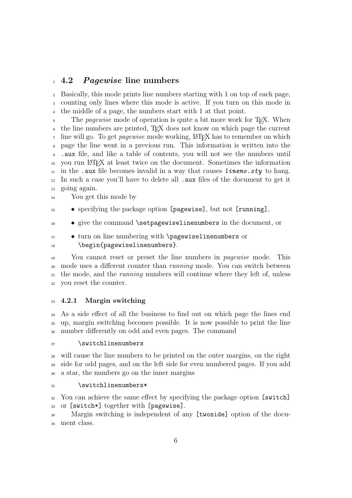## <sup>1</sup> 4.2 *Pagewise* line numbers

 Basically, this mode prints line numbers starting with 1 on top of each page, counting only lines where this mode is active. If you turn on this mode in the middle of a page, the numbers start with 1 at that point.

5 The *pagewise* mode of operation is quite a bit more work for T<sub>E</sub>X. When the line numbers are printed, TEX does not know on which page the current  $\tau$  line will go. To get *pagewise* mode working, LAT<sub>EX</sub> has to remember on which page the line went in a previous run. This information is written into the .aux file, and like a table of contents, you will not see the numbers until you run LATEX at least twice on the document. Sometimes the information  $_{11}$  in the .aux file becomes invalid in a way that causes *lineno.sty* to hang. In such a case you'll have to delete all .aux files of the document to get it going again.

You get this mode by

• specifying the package option [pagewise], but not [running],

• give the command \setpagewiselinenumbers in the document, or

 • turn on line numbering with \pagewiselinenumbers or 18 \begin{pagewiselinenumbers}.

 You cannot reset or preset the line numbers in pagewise mode. This <sup>20</sup> mode uses a different counter than *running* mode. You can switch between the mode, and the running numbers will continue where they left of, unless you reset the counter.

#### 4.2.1 Margin switching

 As a side effect of all the business to find out on which page the lines end up, margin switching becomes possible. It is now possible to print the line number differently on odd and even pages. The command

#### 27 \switchlinenumbers

 will cause the line numbers to be printed on the outer margins, on the right side for odd pages, and on the left side for even numbered pages. If you add a star, the numbers go on the inner margins

#### 31 \switchlinenumbers\*

 You can achieve the same effect by specifying the package option [switch] or [switch\*] together with [pagewise].

 Margin switching is independent of any [twoside] option of the docu-ment class.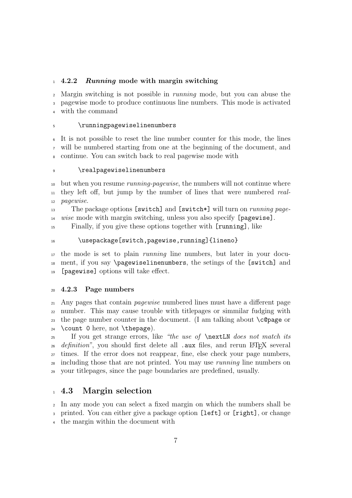#### 4.2.2 Running mode with margin switching

 Margin switching is not possible in running mode, but you can abuse the pagewise mode to produce continuous line numbers. This mode is activated

with the command

#### \runningpagewiselinenumbers

 It is not possible to reset the line number counter for this mode, the lines will be numbered starting from one at the beginning of the document, and continue. You can switch back to real pagewise mode with

#### \realpagewiselinenumbers

 but when you resume running-pagewise, the numbers will not continue where they left off, but jump by the number of lines that were numbered real-pagewise.

13 The package options [switch] and [switch\*] will turn on *running page*-wise mode with margin switching, unless you also specify [pagewise].

Finally, if you give these options together with [running], like

#### 16 \usepackage[switch,pagewise,running]{lineno}

 the mode is set to plain running line numbers, but later in your docu- ment, if you say \pagewiselinenumbers, the setings of the [switch] and [pagewise] options will take effect.

#### 4.2.3 Page numbers

 Any pages that contain pagewise numbered lines must have a different page number. This may cause trouble with titlepages or simmilar fudging with the page number counter in the document. (I am talking about \c@page or  $_{24}$  \count 0 here, not \thepage).

 If you get strange errors, like "the use of \nextLN does not match its <sup>26</sup> definition", you should first delete all .aux files, and rerun LAT<sub>EX</sub> several times. If the error does not reappear, fine, else check your page numbers, including those that are not printed. You may use running line numbers on your titlepages, since the page boundaries are predefined, usually.

## 4.3 Margin selection

 In any mode you can select a fixed margin on which the numbers shall be printed. You can either give a package option [left] or [right], or change the margin within the document with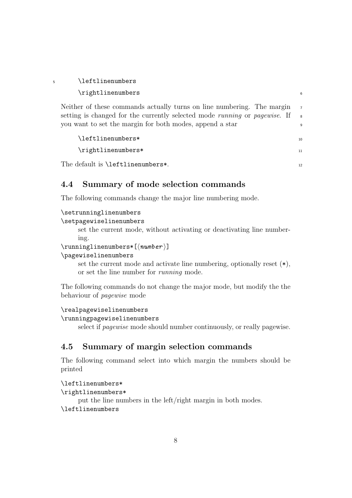| 5 | \leftlinenumbers                                                                                                                                                                                                 |                                       |
|---|------------------------------------------------------------------------------------------------------------------------------------------------------------------------------------------------------------------|---------------------------------------|
|   | \rightlinenumbers                                                                                                                                                                                                | 6                                     |
|   | Neither of these commands actually turns on line numbering. The margin<br>setting is changed for the currently selected mode running or pagewise. If<br>you want to set the margin for both modes, append a star | $\overline{7}$<br>$\overline{8}$<br>9 |
|   | \leftlinenumbers*                                                                                                                                                                                                | 10                                    |
|   | \rightlinenumbers*                                                                                                                                                                                               | 11                                    |
|   | The default is <b>\leftlinenumbers*</b> .                                                                                                                                                                        | 12                                    |

## 4.4 Summary of mode selection commands

The following commands change the major line numbering mode.

```
\setrunninglinenumbers
```

```
\setpagewiselinenumbers
```
set the current mode, without activating or deactivating line numbering.

 $\sum_{{\{numbers*[\{number\}}\}}$ 

#### \pagewiselinenumbers

set the current mode and activate line numbering, optionally reset (\*), or set the line number for running mode.

The following commands do not change the major mode, but modify the the behaviour of pagewise mode

#### \realpagewiselinenumbers

\runningpagewiselinenumbers

select if pagewise mode should number continuously, or really pagewise.

## 4.5 Summary of margin selection commands

The following command select into which margin the numbers should be printed

#### \leftlinenumbers\*

```
\rightlinenumbers*
```
put the line numbers in the left/right margin in both modes. \leftlinenumbers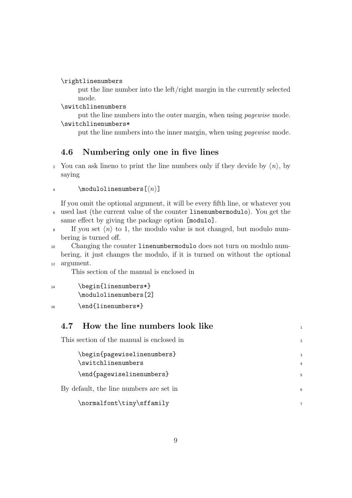\rightlinenumbers

put the line number into the left/right margin in the currently selected mode.

\switchlinenumbers

put the line numbers into the outer margin, when using pagewise mode. \switchlinenumbers\*

put the line numbers into the inner margin, when using pagewise mode.

## 4.6 Numbering only one in five lines

<sup>2</sup> You can ask lineno to print the line numbers only if they devide by  $\langle n \rangle$ , by saying

```
4 \modulolinenumbers[\langle n \rangle]
```
If you omit the optional argument, it will be every fifth line, or whatever you <sup>6</sup> used last (the current value of the counter linenumbermodulo). You get the same effect by giving the package option [modulo].

- <sup>8</sup> If you set  $\langle n \rangle$  to 1, the modulo value is not changed, but modulo numbering is turned off.
- <sup>10</sup> Changing the counter linenumbermodulo does not turn on modulo numbering, it just changes the modulo, if it is turned on without the optional <sup>12</sup> argument.

This section of the manual is enclosed in

14 \begin{linenumbers\*} \modulolinenumbers[2]

16 \end{linenumbers\*}

| 4.7 How the line numbers look like                |                |
|---------------------------------------------------|----------------|
| This section of the manual is enclosed in         | $\overline{2}$ |
| \begin{pagewiselinenumbers}<br>\switchlinenumbers | $\overline{4}$ |
| \end{pagewiselinenumbers}                         | 5              |
| By default, the line numbers are set in           | 6              |
| \normalfont\tiny\sffamily                         | $\overline{7}$ |
|                                                   |                |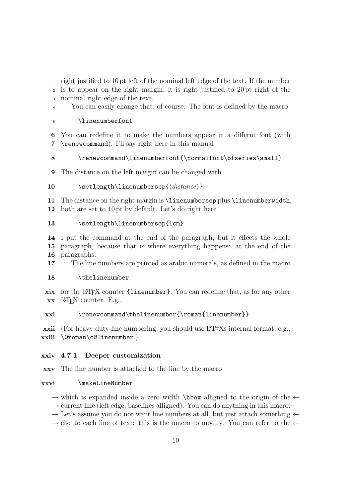<sup>1</sup> right justified to 10 pt left of the nominal left edge of the text. If the number

<sup>2</sup> is to appear on the right margin, it is right justified to 20 pt right of the <sup>3</sup> nominal right edge of the text.

<sup>4</sup> You can easily change that, of course. The font is defined by the macro

#### <sup>5</sup> \linenumberfont

6 You can redefine it to make the numbers appear in a differnt font (with 7 \renewcommand). I'll say right here in this manual

#### 8 \renewcommand\linenumberfont{\normalfont\bfseries\small}

9 The distance on the left margin can be changed with

#### 10 \setlength\linenumbersep{ $\langle distance \rangle$ }

11 The distance on the right margin is \linenumbersep plus \linenumberwidth, 12 both are set to 10 pt by default. Let's do right here

#### 13 \setlength\linenumbersep{1cm}

14 I put the command at the end of the paragraph, but it effects the whole 15 paragraph, because that is where everything happens: at the end of the 16 paragraphs.

17 The line numbers are printed as arabic numerals, as defined in the macro

#### 18 \thelinenumber

xix for the LATEX counter {linenumber}. You can redefine that, as for any other  $\mathbf{x} \mathbf{x}$  LAT<sub>F</sub>X counter. E.g.,

#### xxi \renewcommand\thelinenumber{\roman{linenumber}}

xxii (For heavy duty line numbering, you should use LATEXs internal format, e.g., xxiii \@roman\c@linenumber.)

#### xxiv 4.7.1 Deeper customization

xxv The line number is attached to the line by the macro

#### xxvi \makeLineNumber

 $\rightarrow$  which is expanded inside a zero width \hbox alligned to the origin of the  $\leftarrow$ 

 $\rightarrow$  current line (left edge, baselines alligned). You can do anything in this macro.  $\leftarrow$ 

 $\rightarrow$  Let's assume you do not want line numbers at all, but just attach something  $\leftarrow$ 

 $\rightarrow$  else to each line of text: this is the macro to modify. You can refer to the  $\leftarrow$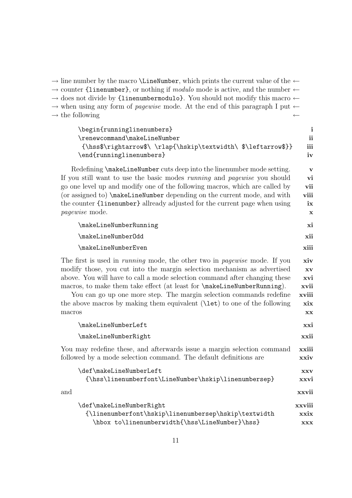| $\rightarrow$ line number by the macro <b>\Line\umber</b> , which prints the current value of the $\leftarrow$<br>$\rightarrow$ counter {linenumber}, or nothing if <i>modulo</i> mode is active, and the number $\leftarrow$<br>$\rightarrow$ does not divide by {linenumbermodulo}. You should not modify this macro $\leftarrow$<br>$\rightarrow$ when using any form of <i>pagewise</i> mode. At the end of this paragraph I put $\leftarrow$<br>$\rightarrow$ the following                          | $\leftarrow$                                                           |
|-----------------------------------------------------------------------------------------------------------------------------------------------------------------------------------------------------------------------------------------------------------------------------------------------------------------------------------------------------------------------------------------------------------------------------------------------------------------------------------------------------------|------------------------------------------------------------------------|
| \begin{runninglinenumbers}<br>\renewcommand\makeLineNumber<br>{\hss\$\rightarrow\$\\rlap{\hskip\textwidth\\$\leftarrow\$}}<br>\end{runninglinenumbers}                                                                                                                                                                                                                                                                                                                                                    | $\mathbf{i}$<br>ii<br>iii<br>iv                                        |
| Redefining \makeLineNumber cuts deep into the linenumber mode setting.<br>If you still want to use the basic modes <i>running</i> and <i>pagewise</i> you should<br>go one level up and modify one of the following macros, which are called by<br>(or assigned to) \makeLineNumber depending on the current mode, and with<br>the counter {linenumber} allready adjusted for the current page when using<br>pagewise mode.                                                                               | $\mathbf{V}$<br>vi<br>vii<br>viii<br>ix<br>x                           |
| \makeLineNumberRunning                                                                                                                                                                                                                                                                                                                                                                                                                                                                                    | xi                                                                     |
| \makeLineNumberOdd                                                                                                                                                                                                                                                                                                                                                                                                                                                                                        | xii                                                                    |
| \makeLineNumberEven                                                                                                                                                                                                                                                                                                                                                                                                                                                                                       | xiii                                                                   |
| The first is used in <i>running</i> mode, the other two in <i>pagewise</i> mode. If you<br>modify those, you cut into the margin selection mechanism as advertised<br>above. You will have to call a mode selection command after changing these<br>macros, to make them take effect (at least for <b>\makeLineNumberRunning</b> ).<br>You can go up one more step. The margin selection commands redefine<br>the above macros by making them equivalent $(\text{let})$ to one of the following<br>macros | xiv<br>XV<br>xvi<br>xvii<br>xviii<br>$\boldsymbol{\mathrm{x}$ ix<br>XX |
| \makeLineNumberLeft                                                                                                                                                                                                                                                                                                                                                                                                                                                                                       | xxi                                                                    |
| \makeLineNumberRight                                                                                                                                                                                                                                                                                                                                                                                                                                                                                      | xxii                                                                   |
| You may redefine these, and afterwards issue a margin selection command<br>followed by a mode selection command. The default definitions are                                                                                                                                                                                                                                                                                                                                                              | xxiii<br>xxiv                                                          |
| \def\makeLineNumberLeft<br>{\hss\linenumberfont\LineNumber\hskip\linenumbersep}                                                                                                                                                                                                                                                                                                                                                                                                                           | <b>XXV</b><br>xxvi                                                     |
| and                                                                                                                                                                                                                                                                                                                                                                                                                                                                                                       | xxvii                                                                  |
| \def\makeLineNumberRight<br>{\linenumberfont\hskip\linenumbersep\hskip\textwidth<br>\hbox to\linenumberwidth{\hss\LineNumber}\hss}                                                                                                                                                                                                                                                                                                                                                                        | xxviii<br>xxix<br><b>XXX</b>                                           |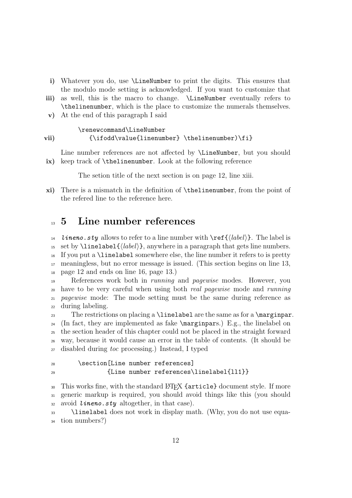- i) Whatever you do, use \LineNumber to print the digits. This ensures that the modulo mode setting is acknowledged. If you want to customize that
- iii) as well, this is the macro to change. \LineNumber eventually refers to \thelinenumber, which is the place to customize the numerals themselves.
- v) At the end of this paragraph I said

#### \renewcommand\LineNumber vii)  ${\iota\value{\linenumber}\ \thelinenumber) \fi$

Line number references are not affected by **\LineNumber**, but you should ix) keep track of \thelinenumber. Look at the following reference

The setion title of the next section is on page 12, line xiii.

xi) There is a mismatch in the definition of \thelinenumber, from the point of the refered line to the reference here.

## <sup>13</sup> 5 Line number references

*lineno.sty* allows to refer to a line number with  $\ref{\label{label}}$ . The label is 15 set by  $\langle label{\langle label \rangle},$  anywhere in a paragraph that gets line numbers. If you put a \linelabel somewhere else, the line number it refers to is pretty meaningless, but no error message is issued. (This section begins on line 13, page 12 and ends on line 16, page 13.)

 References work both in running and pagewise modes. However, you have to be very careful when using both real pagewise mode and running <sub>21</sub> pagewise mode: The mode setting must be the same during reference as during labeling.

23 The restrictions on placing a  $\langle$  linelabel are the same as for a  $\text{marginpar}.$ <sup>24</sup> (In fact, they are implemented as fake  $\m{marginpars.}$ ) E.g., the linelabel on <sup>25</sup> the section header of this chapter could not be placed in the straight forward <sup>26</sup> way, because it would cause an error in the table of contents. (It should be <sup>27</sup> disabled during toc processing.) Instead, I typed

```
28 \section[Line number references]
29 {Line number references\linelabel{ll1}}
```
30 This works fine, with the standard LATEX {article} document style. If more <sup>31</sup> generic markup is required, you should avoid things like this (you should 32 avoid *lineno.sty* altogether, in that case).

<sup>33</sup> \linelabel does not work in display math. (Why, you do not use equa-<sup>34</sup> tion numbers?)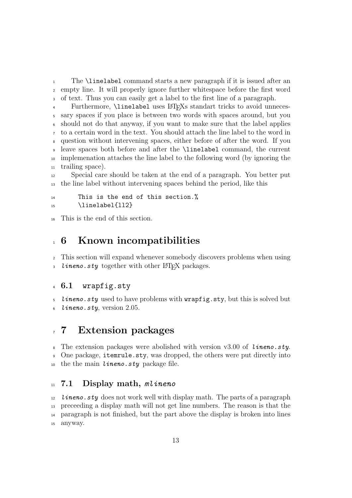The \linelabel command starts a new paragraph if it is issued after an empty line. It will properly ignore further whitespace before the first word of text. Thus you can easily get a label to the first line of a paragraph.

 Furthermore, \linelabel uses LATEXs standart tricks to avoid unneces- sary spaces if you place is between two words with spaces around, but you should not do that anyway, if you want to make sure that the label applies to a certain word in the text. You should attach the line label to the word in question without intervening spaces, either before of after the word. If you leave spaces both before and after the \linelabel command, the current implemenation attaches the line label to the following word (by ignoring the trailing space).

 Special care should be taken at the end of a paragraph. You better put the line label without intervening spaces behind the period, like this

#### This is the end of this section.%  $\ln$  \linelabel{112}

This is the end of this section.

## 6 Known incompatibilities

 This section will expand whenever somebody discovers problems when using ineno.sty together with other  $\mathbb{F}$ FFX packages.

#### 6.1 wrapfig.sty

*lineno.sty* used to have problems with  $\text{wrapfig.sty}$ , but this is solved but lineno.sty, version 2.05.

# 7 Extension packages

<sup>8</sup> The extension packages were abolished with version v3.00 of *lineno.sty*. One package, itemrule.sty, was dropped, the others were put directly into 10 the the main *lineno.sty* package file.

#### 7.1 Display math, *mlineno*

 *lineno.sty* does not work well with display math. The parts of a paragraph preceeding a display math will not get line numbers. The reason is that the paragraph is not finished, but the part above the display is broken into lines anyway.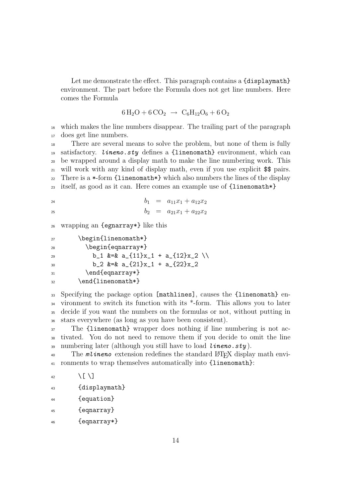Let me demonstrate the effect. This paragraph contains a {displaymath} environment. The part before the Formula does not get line numbers. Here comes the Formula

$$
6 H_2O + 6 CO_2 \rightarrow C_6 H_{12} O_6 + 6 O_2
$$

<sup>16</sup> which makes the line numbers disappear. The trailing part of the paragraph <sup>17</sup> does get line numbers.

 There are several means to solve the problem, but none of them is fully 19 satisfactory. *lineno.sty* defines a {linenomath} environment, which can be wrapped around a display math to make the line numbering work. This will work with any kind of display math, even if you use explicit \$\$ pairs. 22 There is a  $\ast$ -form {linenomath  $\ast$ } which also numbers the lines of the display itself, as good as it can. Here comes an example use of {linenomath\*}

$$
b_1 = a_{11}x_1 + a_{12}x_2
$$
  

$$
b_2 = a_{21}x_1 + a_{22}x_2
$$

<sup>26</sup> wrapping an {egnarray\*} like this

27 \begin{linenomath\*}

28 \begin{eqnarray\*}

29 b\_1 &=& a\_{11}x\_1 + a\_{12}x\_2 \\  $b_2$   $k=k$  a  $\frac{21}{x_1} + a$   $\frac{22}{x_2}$ 31 \end{eqnarray\*} 32 \end{linenomath\*}

 Specifying the package option [mathlines], causes the {linenomath} en- vironment to switch its function with its \*-form. This allows you to later decide if you want the numbers on the formulas or not, without putting in stars everywhere (as long as you have been consistent).

<sup>37</sup> The {linenomath} wrapper does nothing if line numbering is not ac-<sup>38</sup> tivated. You do not need to remove them if you decide to omit the line 39 numbering later (although you still have to load  $l$ **ineno.sty**).

<sup>40</sup> The *mlineno* extension redefines the standard LAT<sub>EX</sub> display math envi-<sup>41</sup> ronments to wrap themselves automatically into {linenomath}:

```
42 \sqrt{[} \setminus ]43 {displaymath}
```
- <sup>44</sup> {equation}
- <sup>45</sup> {eqnarray}

<sup>46</sup> {eqnarray\*}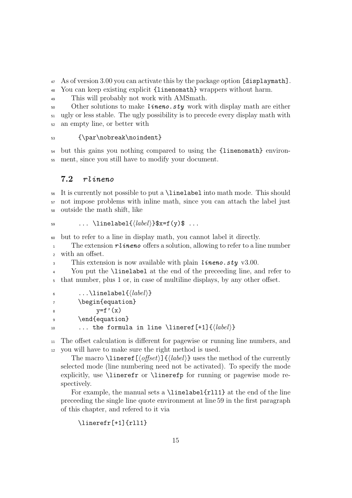<sup>47</sup> As of version 3.00 you can activate this by the package option [displaymath].

<sup>48</sup> You can keep existing explicit {linenomath} wrappers without harm.

<sup>49</sup> This will probably not work with AMSmath.

50 Other solutions to make *lineno.sty* work with display math are either <sup>51</sup> ugly or less stable. The ugly possibility is to precede every display math with <sup>52</sup> an empty line, or better with

<sup>53</sup> {\par\nobreak\noindent}

<sup>54</sup> but this gains you nothing compared to using the {linenomath} environ-<sup>55</sup> ment, since you still have to modify your document.

## 7.2 rlineno

<sup>56</sup> It is currently not possible to put a \linelabel into math mode. This should <sup>57</sup> not impose problems with inline math, since you can attach the label just <sup>58</sup> outside the math shift, like

```
59 ... \linelabel{\langle \text{label}\rangle}$x=f(y)$ ...
```
<sup>60</sup> but to refer to a line in display math, you cannot label it directly.

1 The extension rlinero offers a solution, allowing to refer to a line number <sup>2</sup> with an offset.

3 This extension is now available with plain *lineno.sty* v3.00.

<sup>4</sup> You put the \linelabel at the end of the preceeding line, and refer to <sup>5</sup> that number, plus 1 or, in case of multiline displays, by any other offset.

```
6 \dots \linelabel{\langle \text{label}\rangle\}7 \begin{equation}
8 y=f'(x)9 \end{equation}
10 ... the formula in line \lineref[+1]\{ \langle label \rangle \}
```
<sup>11</sup> The offset calculation is different for pagewise or running line numbers, and <sup>12</sup> you will have to make sure the right method is used.

The macro  $\langle$ lineref[ $\langle$ offset}]{ $\langle$ label}} uses the method of the currently selected mode (line numbering need not be activated). To specify the mode explicitly, use \linerefr or \linerefp for running or pagewise mode respectively.

For example, the manual sets a \linelabel{rll1} at the end of the line preceeding the single line quote environment at line 59 in the first paragraph of this chapter, and refered to it via

```
\linerefr[+1]{rll1}
```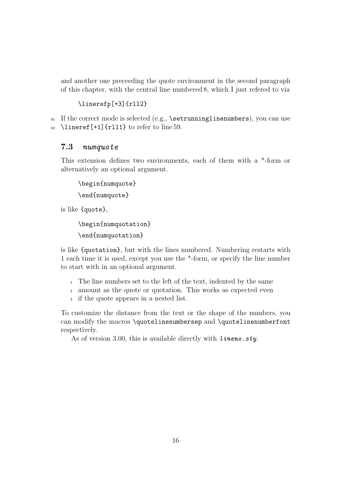and another one preceeding the quote environment in the second paragraph of this chapter, with the central line numbered 8, which I just refered to via

#### \linerefp[+3]{rll2}

 $61$  If the correct mode is selected (e.g., \setrunninglinenumbers), you can use 62 \lineref[+1]{rll1} to refer to line 59.

#### 7.3 numquote

This extension defines two environments, each of them with a \*-form or alternatively an optional argument.

\begin{numquote} \end{numquote}

is like {quote},

\begin{numquotation}

\end{numquotation}

is like {quotation}, but with the lines numbered. Numbering restarts with 1 each time it is used, except you use the \*-form, or specify the line number to start with in an optional argument.

- <sup>1</sup> The line numbers set to the left of the text, indented by the same
- <sup>2</sup> amount as the quote or quotation. This works as expected even
- <sup>3</sup> if the quote appears in a nested list.

To customize the distance from the text or the shape of the numbers, you can modify the macros \quotelinenumbersep and \quotelinenumberfont respectively.

As of version 3.00, this is available directly with  $l$  *ineno.sty*.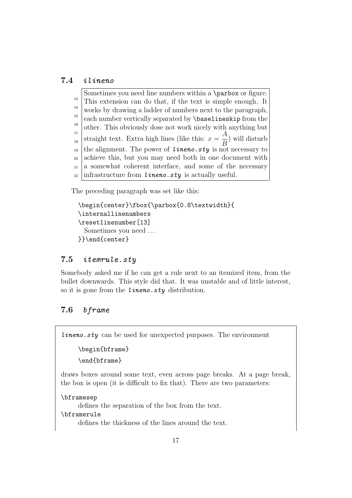## 7.4 ilineno

Sometimes you need line numbers within a \parbox or figure. This extension can do that, if the text is simple enough. It works by drawing a ladder of numbers next to the paragraph, each number vertically separated by \baselineskip from the other. This obviously dose not work nicely with anything but straight text. Extra high lines (like this:  $x =$ A B ) will disturb the alignment. The power of  $l$ **ineno.sty** is not necessary to achieve this, but you may need both in one document with a somewhat coherent interface, and some of the necessary infrastructure from  $l$ *ineno.sty* is actually useful. 13 14 15 16 17 18 19 20 21 22

The preceding paragraph was set like this:

```
\begin{center}\fbox{\parbox{0.8\textwidth}{
\internallinenumbers
\resetlinenumber[13]
 Sometimes you need . . .
}}\end{center}
```
## 7.5 itemrule.sty

Somebody asked me if he can get a rule next to an itemized item, from the bullet downwards. This style did that. It was unstable and of little interest, so it is gone from the *lineno.sty* distribution.

## 7.6 bframe

 $l$ *ineno.sty* can be used for unexpected purposes. The environment

```
\begin{bframe}
```
\end{bframe}

draws boxes around some text, even across page breaks. At a page break, the box is open (it is difficult to fix that). There are two parameters:

\bframesep

defines the separation of the box from the text.

\bframerule

defines the thickness of the lines around the text.